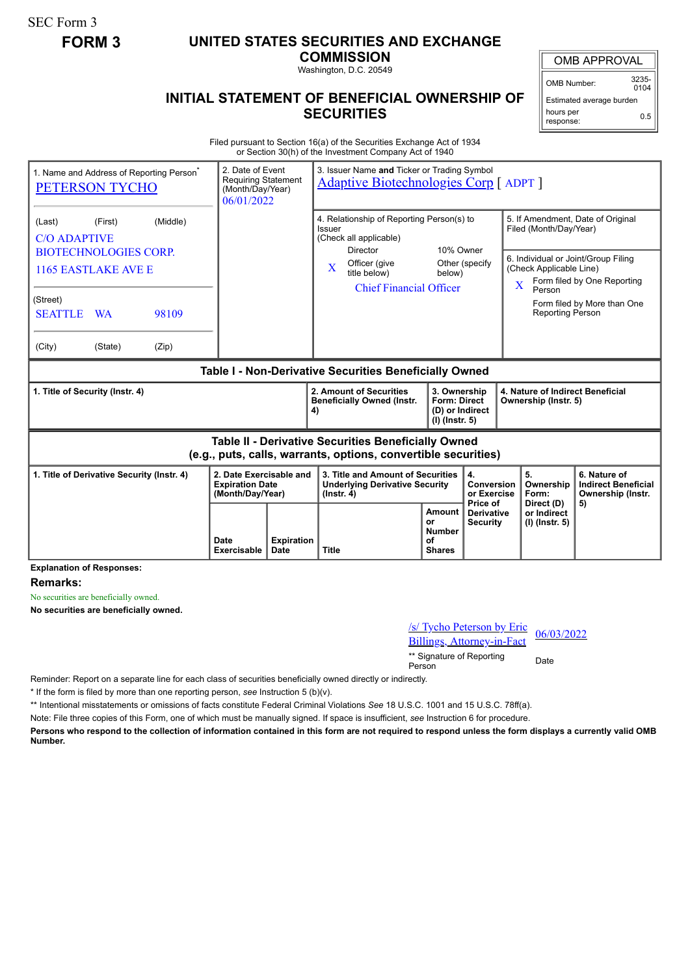SEC Form 3

## **FORM 3 UNITED STATES SECURITIES AND EXCHANGE**

**COMMISSION** Washington, D.C. 20549

OMB APPROVAL

OMB Number: 3235-  $0104$ 

Estimated average burden hours per response: 0.5

## **INITIAL STATEMENT OF BENEFICIAL OWNERSHIP OF SECURITIES**

Filed pursuant to Section 16(a) of the Securities Exchange Act of 1934 or Section 30(h) of the Investment Company Act of 1940

| 1. Name and Address of Reporting Person <sup>®</sup><br><b>PETERSON TYCHO</b> | 2. Date of Event<br><b>Requiring Statement</b><br>(Month/Day/Year)<br>06/01/2022 |    | 3. Issuer Name and Ticker or Trading Symbol<br><b>Adaptive Biotechnologies Corp</b> [ ADPT ]                          |                                                                            |                                                             |                                                                                                                                    |                                                                       |  |
|-------------------------------------------------------------------------------|----------------------------------------------------------------------------------|----|-----------------------------------------------------------------------------------------------------------------------|----------------------------------------------------------------------------|-------------------------------------------------------------|------------------------------------------------------------------------------------------------------------------------------------|-----------------------------------------------------------------------|--|
| (Middle)<br>(First)<br>(Last)<br><b>C/O ADAPTIVE</b>                          |                                                                                  |    | 4. Relationship of Reporting Person(s) to<br>Issuer<br>(Check all applicable)<br>10% Owner<br>Director                |                                                                            | 5. If Amendment, Date of Original<br>Filed (Month/Day/Year) |                                                                                                                                    |                                                                       |  |
| <b>BIOTECHNOLOGIES CORP.</b><br><b>1165 EASTLAKE AVE E</b>                    |                                                                                  |    | Officer (give<br>$\mathbf{X}$<br>title below)<br><b>Chief Financial Officer</b>                                       | Other (specify<br>below)                                                   |                                                             | 6. Individual or Joint/Group Filing<br>(Check Applicable Line)<br>Form filed by One Reporting<br>$\overline{\mathbf{X}}$<br>Person |                                                                       |  |
| (Street)<br><b>SEATTLE</b><br>98109<br><b>WA</b>                              |                                                                                  |    |                                                                                                                       |                                                                            |                                                             | <b>Reporting Person</b>                                                                                                            | Form filed by More than One                                           |  |
| (City)<br>(State)<br>(Zip)                                                    |                                                                                  |    |                                                                                                                       |                                                                            |                                                             |                                                                                                                                    |                                                                       |  |
| Table I - Non-Derivative Securities Beneficially Owned                        |                                                                                  |    |                                                                                                                       |                                                                            |                                                             |                                                                                                                                    |                                                                       |  |
| 1. Title of Security (Instr. 4)                                               |                                                                                  | 4) | 2. Amount of Securities<br><b>Beneficially Owned (Instr.</b>                                                          | 3. Ownership<br><b>Form: Direct</b><br>(D) or Indirect<br>$(I)$ (Instr. 5) |                                                             | 4. Nature of Indirect Beneficial<br>Ownership (Instr. 5)                                                                           |                                                                       |  |
|                                                                               |                                                                                  |    |                                                                                                                       |                                                                            |                                                             |                                                                                                                                    |                                                                       |  |
|                                                                               |                                                                                  |    | Table II - Derivative Securities Beneficially Owned<br>(e.g., puts, calls, warrants, options, convertible securities) |                                                                            |                                                             |                                                                                                                                    |                                                                       |  |
| 1. Title of Derivative Security (Instr. 4)                                    | 2. Date Exercisable and<br><b>Expiration Date</b><br>(Month/Day/Year)            |    | 3. Title and Amount of Securities<br><b>Underlying Derivative Security</b><br>$($ lnstr. 4 $)$                        |                                                                            | 4.<br>Conversion<br>or Exercise<br>Price of                 | 5.<br>Ownership<br>Form:<br>Direct (D)                                                                                             | 6. Nature of<br><b>Indirect Beneficial</b><br>Ownership (Instr.<br>5) |  |

**Explanation of Responses:**

**Remarks:**

No securities are beneficially owned.

**No securities are beneficially owned.**

| /s/ Tycho Peterson by Eric<br>Billings, Attorney-in-Fact | 06/03/2022 |
|----------------------------------------------------------|------------|
| ** Signature of Reporting<br>Person                      | Date       |

Reminder: Report on a separate line for each class of securities beneficially owned directly or indirectly.

\* If the form is filed by more than one reporting person, *see* Instruction 5 (b)(v).

\*\* Intentional misstatements or omissions of facts constitute Federal Criminal Violations *See* 18 U.S.C. 1001 and 15 U.S.C. 78ff(a).

Note: File three copies of this Form, one of which must be manually signed. If space is insufficient, *see* Instruction 6 for procedure.

**Persons who respond to the collection of information contained in this form are not required to respond unless the form displays a currently valid OMB Number.**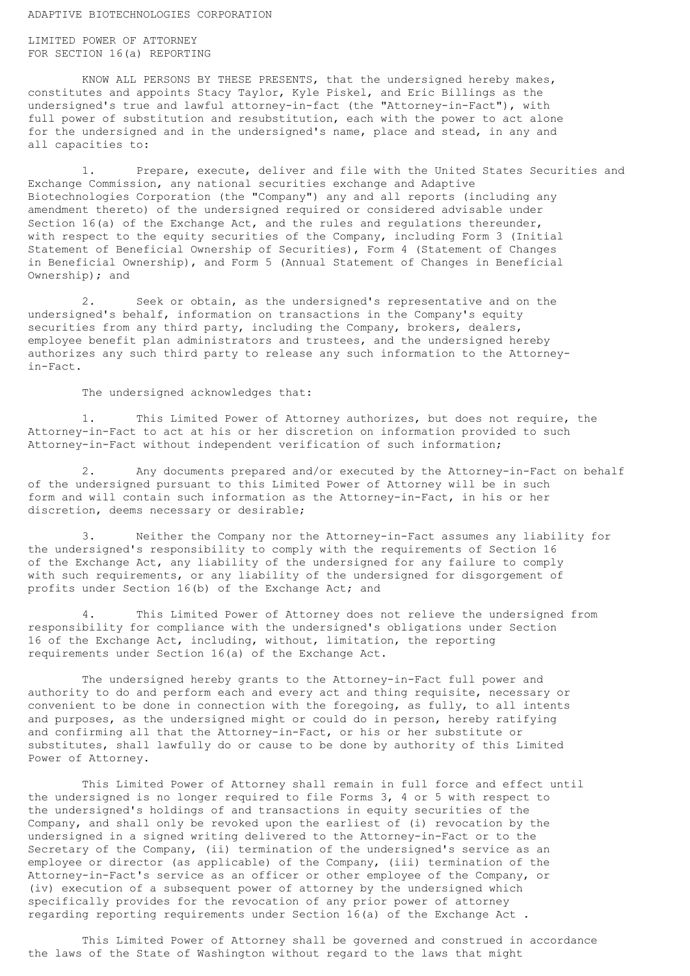## ADAPTIVE BIOTECHNOLOGIES CORPORATION

LIMITED POWER OF ATTORNEY FOR SECTION 16(a) REPORTING

KNOW ALL PERSONS BY THESE PRESENTS, that the undersigned hereby makes, constitutes and appoints Stacy Taylor, Kyle Piskel, and Eric Billings as the undersigned's true and lawful attorney-in-fact (the "Attorney-in-Fact"), with full power of substitution and resubstitution, each with the power to act alone for the undersigned and in the undersigned's name, place and stead, in any and all capacities to:

1. Prepare, execute, deliver and file with the United States Securities and Exchange Commission, any national securities exchange and Adaptive Biotechnologies Corporation (the "Company") any and all reports (including any amendment thereto) of the undersigned required or considered advisable under Section 16(a) of the Exchange Act, and the rules and regulations thereunder, with respect to the equity securities of the Company, including Form 3 (Initial Statement of Beneficial Ownership of Securities), Form 4 (Statement of Changes in Beneficial Ownership), and Form 5 (Annual Statement of Changes in Beneficial Ownership); and

2. Seek or obtain, as the undersigned's representative and on the undersigned's behalf, information on transactions in the Company's equity securities from any third party, including the Company, brokers, dealers, employee benefit plan administrators and trustees, and the undersigned hereby authorizes any such third party to release any such information to the Attorneyin-Fact.

The undersigned acknowledges that:

1. This Limited Power of Attorney authorizes, but does not require, the Attorney-in-Fact to act at his or her discretion on information provided to such Attorney-in-Fact without independent verification of such information;

2. Any documents prepared and/or executed by the Attorney-in-Fact on behalf of the undersigned pursuant to this Limited Power of Attorney will be in such form and will contain such information as the Attorney-in-Fact, in his or her discretion, deems necessary or desirable;

3. Neither the Company nor the Attorney-in-Fact assumes any liability for the undersigned's responsibility to comply with the requirements of Section 16 of the Exchange Act, any liability of the undersigned for any failure to comply with such requirements, or any liability of the undersigned for disgorgement of profits under Section 16(b) of the Exchange Act; and

4. This Limited Power of Attorney does not relieve the undersigned from responsibility for compliance with the undersigned's obligations under Section 16 of the Exchange Act, including, without, limitation, the reporting requirements under Section 16(a) of the Exchange Act.

The undersigned hereby grants to the Attorney-in-Fact full power and authority to do and perform each and every act and thing requisite, necessary or convenient to be done in connection with the foregoing, as fully, to all intents and purposes, as the undersigned might or could do in person, hereby ratifying and confirming all that the Attorney-in-Fact, or his or her substitute or substitutes, shall lawfully do or cause to be done by authority of this Limited Power of Attorney.

This Limited Power of Attorney shall remain in full force and effect until the undersigned is no longer required to file Forms 3, 4 or 5 with respect to the undersigned's holdings of and transactions in equity securities of the Company, and shall only be revoked upon the earliest of (i) revocation by the undersigned in a signed writing delivered to the Attorney-in-Fact or to the Secretary of the Company, (ii) termination of the undersigned's service as an employee or director (as applicable) of the Company, (iii) termination of the Attorney-in-Fact's service as an officer or other employee of the Company, or (iv) execution of a subsequent power of attorney by the undersigned which specifically provides for the revocation of any prior power of attorney regarding reporting requirements under Section 16(a) of the Exchange Act .

This Limited Power of Attorney shall be governed and construed in accordance the laws of the State of Washington without regard to the laws that might